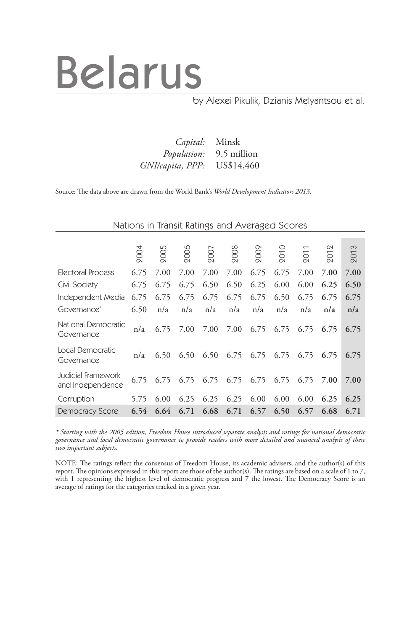# Belarus

### by Alexei Pikulik, Dzianis Melyantsou et al.

 *Capital:* Minsk *Population:* 9.5 million *GNI/capita, PPP:* US\$14,460

Source: The data above are drawn from the World Bank's *World Development Indicators 2013.*

| Nations in Transit Ratings and Averaged Scores |  |  |  |
|------------------------------------------------|--|--|--|
|------------------------------------------------|--|--|--|

|                                        | 2004 | 2005 | 2006 | 2007 | 2008 | 2009 | 201  | $\overline{ }$<br>201 | $\infty$<br>201 | $\infty$<br>201 |
|----------------------------------------|------|------|------|------|------|------|------|-----------------------|-----------------|-----------------|
| Electoral Process                      | 6.75 | 7.00 | 7.00 | 7.00 | 7.00 | 6.75 | 6.75 | 7.00                  | 7.00            | 7.00            |
| Civil Society                          | 6.75 | 6.75 | 6.75 | 6.50 | 6.50 | 6.25 | 6.00 | 6.00                  | 6.25            | 6.50            |
| Independent Media                      | 6.75 | 6.75 | 6.75 | 6.75 | 6.75 | 6.75 | 6.50 | 6.75                  | 6.75            | 6.75            |
| Governance*                            | 6.50 | n/a  | n/a  | n/a  | n/a  | n/a  | n/a  | n/a                   | n/a             | n/a             |
| National Democratic<br>Governance      | n/a  | 6.75 | 7.00 | 7.00 | 7.00 | 6.75 | 6.75 | 6.75                  | 6.75            | 6.75            |
| Local Democratic<br>Governance         | n/a  | 6.50 | 6.50 | 6.50 | 6.75 | 6.75 | 6.75 | 6.75                  | 6.75            | 6.75            |
| Judicial Framework<br>and Independence | 6.75 | 6.75 | 6.75 | 6.75 | 6.75 | 6.75 | 6.75 | 6.75                  | 7.00            | 7.00            |
| Corruption                             | 5.75 | 6.00 | 6.25 | 6.25 | 6.25 | 6.00 | 6.00 | 6.00                  | 6.25            | 6.25            |
| <b>Democracy Score</b>                 | 6.54 | 6.64 | 6.71 | 6.68 | 6.71 | 6.57 | 6.50 | 6.57                  | 6.68            | 6.71            |

*\* Starting with the 2005 edition, Freedom House introduced separate analysis and ratings for national democratic governance and local democratic governance to provide readers with more detailed and nuanced analysis of these two important subjects.*

NOTE: The ratings reflect the consensus of Freedom House, its academic advisers, and the author(s) of this report. The opinions expressed in this report are those of the author(s). The ratings are based on a scale of 1 to 7, with 1 representing the highest level of democratic progress and 7 the lowest. The Democracy Score is an average of ratings for the categories tracked in a given year.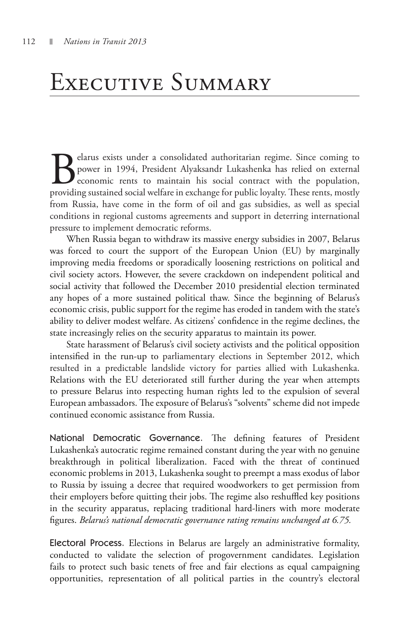### Executive Summary

Belarus exists under a consolidated authoritarian regime. Since coming to power in 1994, President Alyaksandr Lukashenka has relied on external economic rents to maintain his social contract with the population, providing power in 1994, President Alyaksandr Lukashenka has relied on external economic rents to maintain his social contract with the population, providing sustained social welfare in exchange for public loyalty. These rents, mostly from Russia, have come in the form of oil and gas subsidies, as well as special conditions in regional customs agreements and support in deterring international pressure to implement democratic reforms.

When Russia began to withdraw its massive energy subsidies in 2007, Belarus was forced to court the support of the European Union (EU) by marginally improving media freedoms or sporadically loosening restrictions on political and civil society actors. However, the severe crackdown on independent political and social activity that followed the December 2010 presidential election terminated any hopes of a more sustained political thaw. Since the beginning of Belarus's economic crisis, public support for the regime has eroded in tandem with the state's ability to deliver modest welfare. As citizens' confidence in the regime declines, the state increasingly relies on the security apparatus to maintain its power.

State harassment of Belarus's civil society activists and the political opposition intensified in the run-up to parliamentary elections in September 2012, which resulted in a predictable landslide victory for parties allied with Lukashenka. Relations with the EU deteriorated still further during the year when attempts to pressure Belarus into respecting human rights led to the expulsion of several European ambassadors. The exposure of Belarus's "solvents" scheme did not impede continued economic assistance from Russia.

National Democratic Governance. The defining features of President Lukashenka's autocratic regime remained constant during the year with no genuine breakthrough in political liberalization. Faced with the threat of continued economic problems in 2013, Lukashenka sought to preempt a mass exodus of labor to Russia by issuing a decree that required woodworkers to get permission from their employers before quitting their jobs. The regime also reshuffled key positions in the security apparatus, replacing traditional hard-liners with more moderate figures. *Belarus's national democratic governance rating remains unchanged at 6.75.* 

Electoral Process. Elections in Belarus are largely an administrative formality, conducted to validate the selection of progovernment candidates. Legislation fails to protect such basic tenets of free and fair elections as equal campaigning opportunities, representation of all political parties in the country's electoral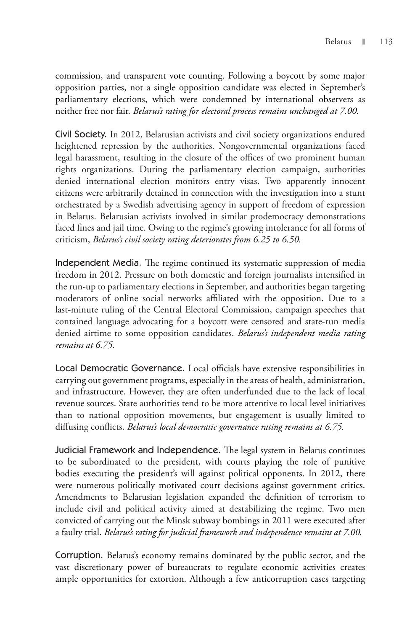commission, and transparent vote counting. Following a boycott by some major opposition parties, not a single opposition candidate was elected in September's parliamentary elections, which were condemned by international observers as neither free nor fair. *Belarus's rating for electoral process remains unchanged at 7.00.*

Civil Society. In 2012, Belarusian activists and civil society organizations endured heightened repression by the authorities. Nongovernmental organizations faced legal harassment, resulting in the closure of the offices of two prominent human rights organizations. During the parliamentary election campaign, authorities denied international election monitors entry visas. Two apparently innocent citizens were arbitrarily detained in connection with the investigation into a stunt orchestrated by a Swedish advertising agency in support of freedom of expression in Belarus. Belarusian activists involved in similar prodemocracy demonstrations faced fines and jail time. Owing to the regime's growing intolerance for all forms of criticism, *Belarus's civil society rating deteriorates from 6.25 to 6.50.* 

Independent Media. The regime continued its systematic suppression of media freedom in 2012. Pressure on both domestic and foreign journalists intensified in the run-up to parliamentary elections in September, and authorities began targeting moderators of online social networks affiliated with the opposition. Due to a last-minute ruling of the Central Electoral Commission, campaign speeches that contained language advocating for a boycott were censored and state-run media denied airtime to some opposition candidates. *Belarus's independent media rating remains at 6.75.*

Local Democratic Governance. Local officials have extensive responsibilities in carrying out government programs, especially in the areas of health, administration, and infrastructure. However, they are often underfunded due to the lack of local revenue sources. State authorities tend to be more attentive to local level initiatives than to national opposition movements, but engagement is usually limited to diffusing conflicts. *Belarus's local democratic governance rating remains at 6.75.*

Judicial Framework and Independence. The legal system in Belarus continues to be subordinated to the president, with courts playing the role of punitive bodies executing the president's will against political opponents. In 2012, there were numerous politically motivated court decisions against government critics. Amendments to Belarusian legislation expanded the definition of terrorism to include civil and political activity aimed at destabilizing the regime. Two men convicted of carrying out the Minsk subway bombings in 2011 were executed after a faulty trial. *Belarus's rating for judicial framework and independence remains at 7.00.*

Corruption. Belarus's economy remains dominated by the public sector, and the vast discretionary power of bureaucrats to regulate economic activities creates ample opportunities for extortion. Although a few anticorruption cases targeting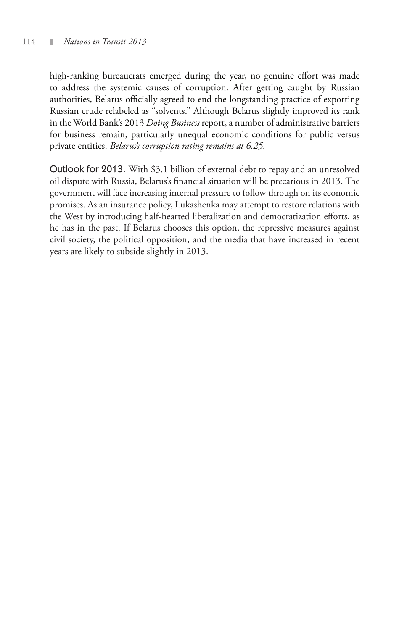high-ranking bureaucrats emerged during the year, no genuine effort was made to address the systemic causes of corruption. After getting caught by Russian authorities, Belarus officially agreed to end the longstanding practice of exporting Russian crude relabeled as "solvents." Although Belarus slightly improved its rank in the World Bank's 2013 *Doing Business* report, a number of administrative barriers for business remain, particularly unequal economic conditions for public versus private entities. *Belarus's corruption rating remains at 6.25.*

Outlook for 2013. With \$3.1 billion of external debt to repay and an unresolved oil dispute with Russia, Belarus's financial situation will be precarious in 2013. The government will face increasing internal pressure to follow through on its economic promises. As an insurance policy, Lukashenka may attempt to restore relations with the West by introducing half-hearted liberalization and democratization efforts, as he has in the past. If Belarus chooses this option, the repressive measures against civil society, the political opposition, and the media that have increased in recent years are likely to subside slightly in 2013.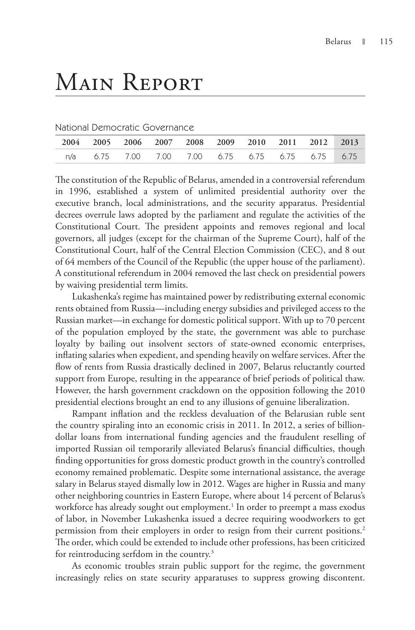## Main Report

#### National Democratic Governance

| 2004 2005 2006 2007 2008 2009 2010 2011 2012 2013 |  |  |  |                                                  |  |
|---------------------------------------------------|--|--|--|--------------------------------------------------|--|
|                                                   |  |  |  | n/a 6.75 7.00 7.00 7.00 6.75 6.75 6.75 6.75 6.75 |  |

The constitution of the Republic of Belarus, amended in a controversial referendum in 1996, established a system of unlimited presidential authority over the executive branch, local administrations, and the security apparatus. Presidential decrees overrule laws adopted by the parliament and regulate the activities of the Constitutional Court. The president appoints and removes regional and local governors, all judges (except for the chairman of the Supreme Court), half of the Constitutional Court, half of the Central Election Commission (CEC), and 8 out of 64 members of the Council of the Republic (the upper house of the parliament). A constitutional referendum in 2004 removed the last check on presidential powers by waiving presidential term limits.

Lukashenka's regime has maintained power by redistributing external economic rents obtained from Russia—including energy subsidies and privileged access to the Russian market—in exchange for domestic political support. With up to 70 percent of the population employed by the state, the government was able to purchase loyalty by bailing out insolvent sectors of state-owned economic enterprises, inflating salaries when expedient, and spending heavily on welfare services. After the flow of rents from Russia drastically declined in 2007, Belarus reluctantly courted support from Europe, resulting in the appearance of brief periods of political thaw. However, the harsh government crackdown on the opposition following the 2010 presidential elections brought an end to any illusions of genuine liberalization.

Rampant inflation and the reckless devaluation of the Belarusian ruble sent the country spiraling into an economic crisis in 2011. In 2012, a series of billiondollar loans from international funding agencies and the fraudulent reselling of imported Russian oil temporarily alleviated Belarus's financial difficulties, though finding opportunities for gross domestic product growth in the country's controlled economy remained problematic. Despite some international assistance, the average salary in Belarus stayed dismally low in 2012. Wages are higher in Russia and many other neighboring countries in Eastern Europe, where about 14 percent of Belarus's workforce has already sought out employment.<sup>1</sup> In order to preempt a mass exodus of labor, in November Lukashenka issued a decree requiring woodworkers to get permission from their employers in order to resign from their current positions.<sup>2</sup> The order, which could be extended to include other professions, has been criticized for reintroducing serfdom in the country.3

As economic troubles strain public support for the regime, the government increasingly relies on state security apparatuses to suppress growing discontent.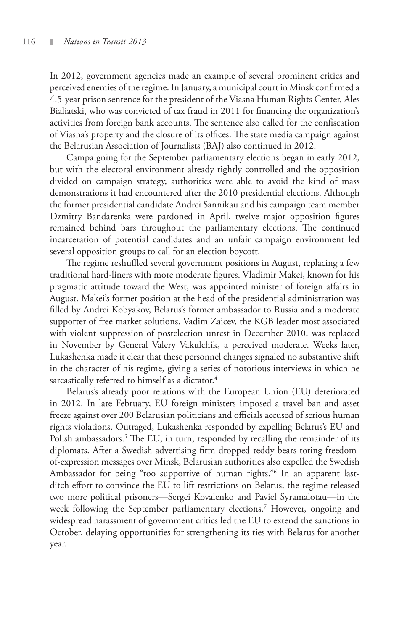In 2012, government agencies made an example of several prominent critics and perceived enemies of the regime. In January, a municipal court in Minsk confirmed a 4.5-year prison sentence for the president of the Viasna Human Rights Center, Ales Bialiatski, who was convicted of tax fraud in 2011 for financing the organization's activities from foreign bank accounts. The sentence also called for the confiscation of Viasna's property and the closure of its offices. The state media campaign against the Belarusian Association of Journalists (BAJ) also continued in 2012.

Campaigning for the September parliamentary elections began in early 2012, but with the electoral environment already tightly controlled and the opposition divided on campaign strategy, authorities were able to avoid the kind of mass demonstrations it had encountered after the 2010 presidential elections. Although the former presidential candidate Andrei Sannikau and his campaign team member Dzmitry Bandarenka were pardoned in April, twelve major opposition figures remained behind bars throughout the parliamentary elections. The continued incarceration of potential candidates and an unfair campaign environment led several opposition groups to call for an election boycott.

The regime reshuffled several government positions in August, replacing a few traditional hard-liners with more moderate figures. Vladimir Makei, known for his pragmatic attitude toward the West, was appointed minister of foreign affairs in August. Makei's former position at the head of the presidential administration was filled by Andrei Kobyakov, Belarus's former ambassador to Russia and a moderate supporter of free market solutions. Vadim Zaicev, the KGB leader most associated with violent suppression of postelection unrest in December 2010, was replaced in November by General Valery Vakulchik, a perceived moderate. Weeks later, Lukashenka made it clear that these personnel changes signaled no substantive shift in the character of his regime, giving a series of notorious interviews in which he sarcastically referred to himself as a dictator.<sup>4</sup>

Belarus's already poor relations with the European Union (EU) deteriorated in 2012. In late February, EU foreign ministers imposed a travel ban and asset freeze against over 200 Belarusian politicians and officials accused of serious human rights violations. Outraged, Lukashenka responded by expelling Belarus's EU and Polish ambassadors.<sup>5</sup> The EU, in turn, responded by recalling the remainder of its diplomats. After a Swedish advertising firm dropped teddy bears toting freedomof-expression messages over Minsk, Belarusian authorities also expelled the Swedish Ambassador for being "too supportive of human rights."6 In an apparent lastditch effort to convince the EU to lift restrictions on Belarus, the regime released two more political prisoners—Sergei Kovalenko and Paviel Syramalotau—in the week following the September parliamentary elections.<sup>7</sup> However, ongoing and widespread harassment of government critics led the EU to extend the sanctions in October, delaying opportunities for strengthening its ties with Belarus for another year.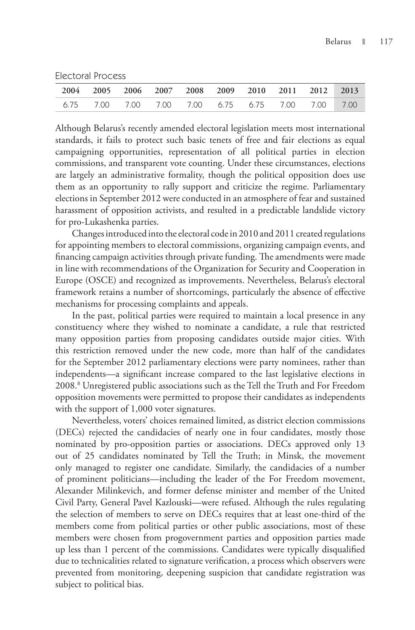Electoral Process

|  |  |  |  | 2004 2005 2006 2007 2008 2009 2010 2011 2012 2013 |  |
|--|--|--|--|---------------------------------------------------|--|
|  |  |  |  | 6.75 7.00 7.00 7.00 7.00 6.75 6.75 7.00 7.00 7.00 |  |

Although Belarus's recently amended electoral legislation meets most international standards, it fails to protect such basic tenets of free and fair elections as equal campaigning opportunities, representation of all political parties in election commissions, and transparent vote counting. Under these circumstances, elections are largely an administrative formality, though the political opposition does use them as an opportunity to rally support and criticize the regime. Parliamentary elections in September 2012 were conducted in an atmosphere of fear and sustained harassment of opposition activists, and resulted in a predictable landslide victory for pro-Lukashenka parties.

Changes introduced into the electoral code in 2010 and 2011 created regulations for appointing members to electoral commissions, organizing campaign events, and financing campaign activities through private funding. The amendments were made in line with recommendations of the Organization for Security and Cooperation in Europe (OSCE) and recognized as improvements. Nevertheless, Belarus's electoral framework retains a number of shortcomings, particularly the absence of effective mechanisms for processing complaints and appeals.

In the past, political parties were required to maintain a local presence in any constituency where they wished to nominate a candidate, a rule that restricted many opposition parties from proposing candidates outside major cities. With this restriction removed under the new code, more than half of the candidates for the September 2012 parliamentary elections were party nominees, rather than independents—a significant increase compared to the last legislative elections in 2008.8 Unregistered public associations such as the Tell the Truth and For Freedom opposition movements were permitted to propose their candidates as independents with the support of 1,000 voter signatures.

Nevertheless, voters' choices remained limited, as district election commissions (DECs) rejected the candidacies of nearly one in four candidates, mostly those nominated by pro-opposition parties or associations. DECs approved only 13 out of 25 candidates nominated by Tell the Truth; in Minsk, the movement only managed to register one candidate. Similarly, the candidacies of a number of prominent politicians—including the leader of the For Freedom movement, Alexander Milinkevich, and former defense minister and member of the United Civil Party, General Pavel Kazlouski—were refused. Although the rules regulating the selection of members to serve on DECs requires that at least one-third of the members come from political parties or other public associations, most of these members were chosen from progovernment parties and opposition parties made up less than 1 percent of the commissions. Candidates were typically disqualified due to technicalities related to signature verification, a process which observers were prevented from monitoring, deepening suspicion that candidate registration was subject to political bias.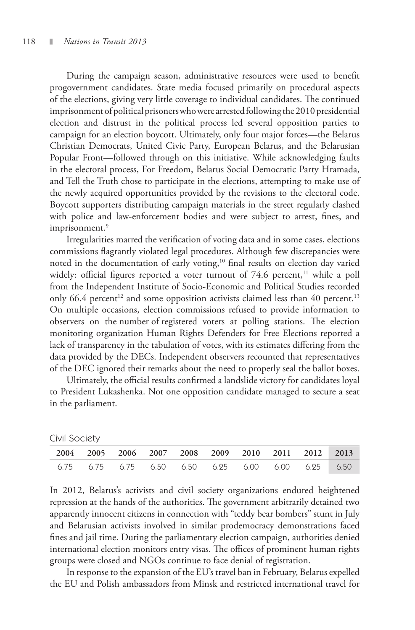During the campaign season, administrative resources were used to benefit progovernment candidates. State media focused primarily on procedural aspects of the elections, giving very little coverage to individual candidates. The continued imprisonment of political prisoners who were arrested following the 2010 presidential election and distrust in the political process led several opposition parties to campaign for an election boycott. Ultimately, only four major forces—the Belarus Christian Democrats, United Civic Party, European Belarus, and the Belarusian Popular Front—followed through on this initiative. While acknowledging faults in the electoral process, For Freedom, Belarus Social Democratic Party Hramada, and Tell the Truth chose to participate in the elections, attempting to make use of the newly acquired opportunities provided by the revisions to the electoral code. Boycott supporters distributing campaign materials in the street regularly clashed with police and law-enforcement bodies and were subject to arrest, fines, and imprisonment.<sup>9</sup>

Irregularities marred the verification of voting data and in some cases, elections commissions flagrantly violated legal procedures. Although few discrepancies were noted in the documentation of early voting,<sup>10</sup> final results on election day varied widely: official figures reported a voter turnout of  $74.6$  percent,<sup>11</sup> while a poll from the Independent Institute of Socio-Economic and Political Studies recorded only 66.4 percent<sup>12</sup> and some opposition activists claimed less than 40 percent.<sup>13</sup> On multiple occasions, election commissions refused to provide information to observers on the number of registered voters at polling stations. The election monitoring organization Human Rights Defenders for Free Elections reported a lack of transparency in the tabulation of votes, with its estimates differing from the data provided by the DECs. Independent observers recounted that representatives of the DEC ignored their remarks about the need to properly seal the ballot boxes.

Ultimately, the official results confirmed a landslide victory for candidates loyal to President Lukashenka. Not one opposition candidate managed to secure a seat in the parliament.

| $\sim$ $\sim$ $\sim$ |                                                                     |  |  |  |  |
|----------------------|---------------------------------------------------------------------|--|--|--|--|
|                      | 2004 2005 2006 2007 2008 2009 2010 2011 2012 2013                   |  |  |  |  |
|                      | 6.75   6.75   6.75   6.50   6.50   6.25   6.00   6.00   6.25   6.50 |  |  |  |  |
|                      |                                                                     |  |  |  |  |

Civil Society

In 2012, Belarus's activists and civil society organizations endured heightened repression at the hands of the authorities. The government arbitrarily detained two apparently innocent citizens in connection with "teddy bear bombers" stunt in July and Belarusian activists involved in similar prodemocracy demonstrations faced fines and jail time. During the parliamentary election campaign, authorities denied international election monitors entry visas. The offices of prominent human rights groups were closed and NGOs continue to face denial of registration.

In response to the expansion of the EU's travel ban in February, Belarus expelled the EU and Polish ambassadors from Minsk and restricted international travel for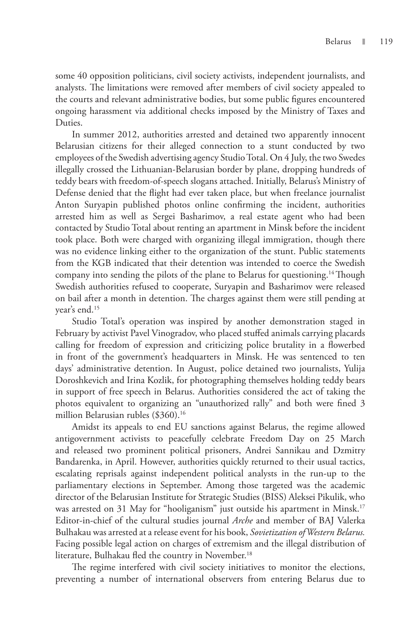some 40 opposition politicians, civil society activists, independent journalists, and analysts. The limitations were removed after members of civil society appealed to the courts and relevant administrative bodies, but some public figures encountered ongoing harassment via additional checks imposed by the Ministry of Taxes and Duties.

In summer 2012, authorities arrested and detained two apparently innocent Belarusian citizens for their alleged connection to a stunt conducted by two employees of the Swedish advertising agency Studio Total. On 4 July, the two Swedes illegally crossed the Lithuanian-Belarusian border by plane, dropping hundreds of teddy bears with freedom-of-speech slogans attached. Initially, Belarus's Ministry of Defense denied that the flight had ever taken place, but when freelance journalist Anton Suryapin published photos online confirming the incident, authorities arrested him as well as Sergei Basharimov, a real estate agent who had been contacted by Studio Total about renting an apartment in Minsk before the incident took place. Both were charged with organizing illegal immigration, though there was no evidence linking either to the organization of the stunt. Public statements from the KGB indicated that their detention was intended to coerce the Swedish company into sending the pilots of the plane to Belarus for questioning.<sup>14</sup> Though Swedish authorities refused to cooperate, Suryapin and Basharimov were released on bail after a month in detention. The charges against them were still pending at year's end.15

Studio Total's operation was inspired by another demonstration staged in February by activist Pavel Vinogradov, who placed stuffed animals carrying placards calling for freedom of expression and criticizing police brutality in a flowerbed in front of the government's headquarters in Minsk. He was sentenced to ten days' administrative detention. In August, police detained two journalists, Yulija Doroshkevich and Irina Kozlik, for photographing themselves holding teddy bears in support of free speech in Belarus. Authorities considered the act of taking the photos equivalent to organizing an "unauthorized rally" and both were fined 3 million Belarusian rubles (\$360).<sup>16</sup>

Amidst its appeals to end EU sanctions against Belarus, the regime allowed antigovernment activists to peacefully celebrate Freedom Day on 25 March and released two prominent political prisoners, Andrei Sannikau and Dzmitry Bandarenka, in April. However, authorities quickly returned to their usual tactics, escalating reprisals against independent political analysts in the run-up to the parliamentary elections in September. Among those targeted was the academic director of the Belarusian Institute for Strategic Studies (BISS) Aleksei Pikulik, who was arrested on 31 May for "hooliganism" just outside his apartment in Minsk.<sup>17</sup> Editor-in-chief of the cultural studies journal *Arche* and member of BAJ Valerka Bulhakau was arrested at a release event for his book, *Sovietization of Western Belarus.*  Facing possible legal action on charges of extremism and the illegal distribution of literature, Bulhakau fled the country in November.<sup>18</sup>

The regime interfered with civil society initiatives to monitor the elections, preventing a number of international observers from entering Belarus due to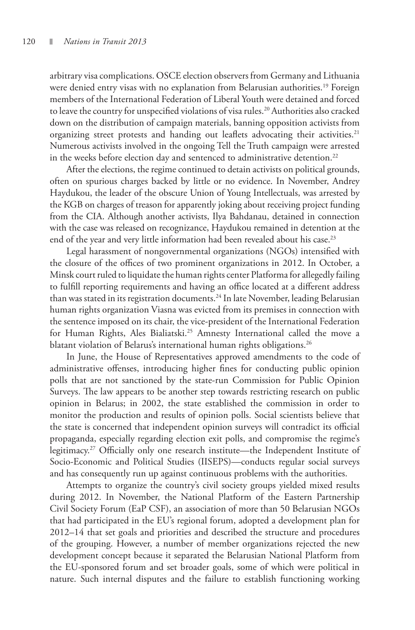arbitrary visa complications. OSCE election observers from Germany and Lithuania were denied entry visas with no explanation from Belarusian authorities.<sup>19</sup> Foreign members of the International Federation of Liberal Youth were detained and forced to leave the country for unspecified violations of visa rules.<sup>20</sup> Authorities also cracked down on the distribution of campaign materials, banning opposition activists from organizing street protests and handing out leaflets advocating their activities.<sup>21</sup> Numerous activists involved in the ongoing Tell the Truth campaign were arrested in the weeks before election day and sentenced to administrative detention.<sup>22</sup>

After the elections, the regime continued to detain activists on political grounds, often on spurious charges backed by little or no evidence. In November, Andrey Haydukou, the leader of the obscure Union of Young Intellectuals, was arrested by the KGB on charges of treason for apparently joking about receiving project funding from the CIA. Although another activists, Ilya Bahdanau, detained in connection with the case was released on recognizance, Haydukou remained in detention at the end of the year and very little information had been revealed about his case.<sup>23</sup>

Legal harassment of nongovernmental organizations (NGOs) intensified with the closure of the offices of two prominent organizations in 2012. In October, a Minsk court ruled to liquidate the human rights center Platforma for allegedly failing to fulfill reporting requirements and having an office located at a different address than was stated in its registration documents.24 In late November, leading Belarusian human rights organization Viasna was evicted from its premises in connection with the sentence imposed on its chair, the vice-president of the International Federation for Human Rights, Ales Bialiatski.<sup>25</sup> Amnesty International called the move a blatant violation of Belarus's international human rights obligations.<sup>26</sup>

In June, the House of Representatives approved amendments to the code of administrative offenses, introducing higher fines for conducting public opinion polls that are not sanctioned by the state-run Commission for Public Opinion Surveys. The law appears to be another step towards restricting research on public opinion in Belarus; in 2002, the state established the commission in order to monitor the production and results of opinion polls. Social scientists believe that the state is concerned that independent opinion surveys will contradict its official propaganda, especially regarding election exit polls, and compromise the regime's legitimacy.27 Officially only one research institute—the Independent Institute of Socio-Economic and Political Studies (IISEPS)—conducts regular social surveys and has consequently run up against continuous problems with the authorities.

Attempts to organize the country's civil society groups yielded mixed results during 2012. In November, the National Platform of the Eastern Partnership Civil Society Forum (EaP CSF), an association of more than 50 Belarusian NGOs that had participated in the EU's regional forum, adopted a development plan for 2012–14 that set goals and priorities and described the structure and procedures of the grouping. However, a number of member organizations rejected the new development concept because it separated the Belarusian National Platform from the EU-sponsored forum and set broader goals, some of which were political in nature. Such internal disputes and the failure to establish functioning working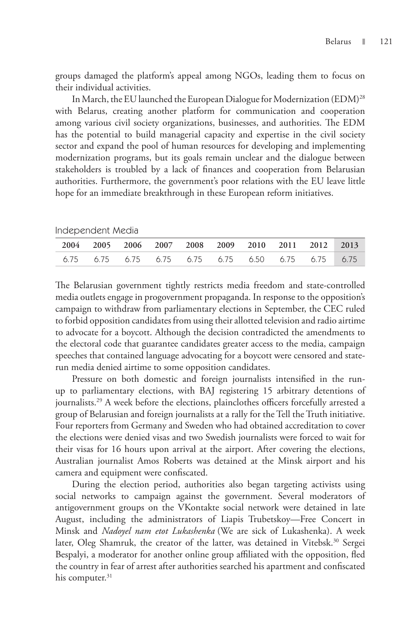groups damaged the platform's appeal among NGOs, leading them to focus on their individual activities.

In March, the EU launched the European Dialogue for Modernization (EDM)<sup>28</sup> with Belarus, creating another platform for communication and cooperation among various civil society organizations, businesses, and authorities. The EDM has the potential to build managerial capacity and expertise in the civil society sector and expand the pool of human resources for developing and implementing modernization programs, but its goals remain unclear and the dialogue between stakeholders is troubled by a lack of finances and cooperation from Belarusian authorities. Furthermore, the government's poor relations with the EU leave little hope for an immediate breakthrough in these European reform initiatives.

| Independent Media |  |
|-------------------|--|
|-------------------|--|

|  | 2004 2005 2006 2007 2008 2009 2010 2011 2012 2013          |  |  |  |  |
|--|------------------------------------------------------------|--|--|--|--|
|  | 6.75  6.75  6.75  6.75  6.75  6.75  6.50  6.75  6.75  6.75 |  |  |  |  |
|  |                                                            |  |  |  |  |

The Belarusian government tightly restricts media freedom and state-controlled media outlets engage in progovernment propaganda. In response to the opposition's campaign to withdraw from parliamentary elections in September, the CEC ruled to forbid opposition candidates from using their allotted television and radio airtime to advocate for a boycott. Although the decision contradicted the amendments to the electoral code that guarantee candidates greater access to the media, campaign speeches that contained language advocating for a boycott were censored and staterun media denied airtime to some opposition candidates.

Pressure on both domestic and foreign journalists intensified in the runup to parliamentary elections, with BAJ registering 15 arbitrary detentions of journalists.<sup>29</sup> A week before the elections, plainclothes officers forcefully arrested a group of Belarusian and foreign journalists at a rally for the Tell the Truth initiative. Four reporters from Germany and Sweden who had obtained accreditation to cover the elections were denied visas and two Swedish journalists were forced to wait for their visas for 16 hours upon arrival at the airport. After covering the elections, Australian journalist Amos Roberts was detained at the Minsk airport and his camera and equipment were confiscated.

During the election period, authorities also began targeting activists using social networks to campaign against the government. Several moderators of antigovernment groups on the VKontakte social network were detained in late August, including the administrators of Liapis Trubetskoy—Free Concert in Minsk and *Nadoyel nam etot Lukashenka* (We are sick of Lukashenka). A week later, Oleg Shamruk, the creator of the latter, was detained in Vitebsk.<sup>30</sup> Sergei Bespalyi, a moderator for another online group affiliated with the opposition, fled the country in fear of arrest after authorities searched his apartment and confiscated his computer.<sup>31</sup>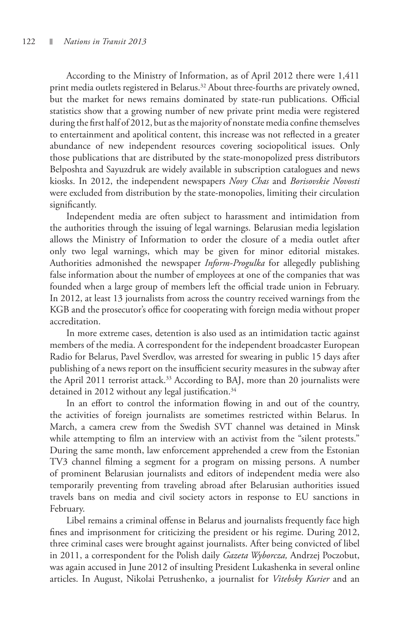According to the Ministry of Information, as of April 2012 there were 1,411 print media outlets registered in Belarus.<sup>32</sup> About three-fourths are privately owned, but the market for news remains dominated by state-run publications. Official statistics show that a growing number of new private print media were registered during the first half of 2012, but as the majority of nonstate media confine themselves to entertainment and apolitical content, this increase was not reflected in a greater abundance of new independent resources covering sociopolitical issues. Only those publications that are distributed by the state-monopolized press distributors Belposhta and Sayuzdruk are widely available in subscription catalogues and news kiosks. In 2012, the independent newspapers *Novy Chas* and *Borisovskie Novosti* were excluded from distribution by the state-monopolies, limiting their circulation significantly.

Independent media are often subject to harassment and intimidation from the authorities through the issuing of legal warnings. Belarusian media legislation allows the Ministry of Information to order the closure of a media outlet after only two legal warnings, which may be given for minor editorial mistakes. Authorities admonished the newspaper *Inform-Progulka* for allegedly publishing false information about the number of employees at one of the companies that was founded when a large group of members left the official trade union in February. In 2012, at least 13 journalists from across the country received warnings from the KGB and the prosecutor's office for cooperating with foreign media without proper accreditation.

In more extreme cases, detention is also used as an intimidation tactic against members of the media. A correspondent for the independent broadcaster European Radio for Belarus, Pavel Sverdlov, was arrested for swearing in public 15 days after publishing of a news report on the insufficient security measures in the subway after the April 2011 terrorist attack.<sup>33</sup> According to BAJ, more than 20 journalists were detained in 2012 without any legal justification.<sup>34</sup>

In an effort to control the information flowing in and out of the country, the activities of foreign journalists are sometimes restricted within Belarus. In March, a camera crew from the Swedish SVT channel was detained in Minsk while attempting to film an interview with an activist from the "silent protests." During the same month, law enforcement apprehended a crew from the Estonian TV3 channel filming a segment for a program on missing persons. A number of prominent Belarusian journalists and editors of independent media were also temporarily preventing from traveling abroad after Belarusian authorities issued travels bans on media and civil society actors in response to EU sanctions in February.

Libel remains a criminal offense in Belarus and journalists frequently face high fines and imprisonment for criticizing the president or his regime. During 2012, three criminal cases were brought against journalists. After being convicted of libel in 2011, a correspondent for the Polish daily *Gazeta Wyborcza,* Andrzej Poczobut, was again accused in June 2012 of insulting President Lukashenka in several online articles. In August, Nikolai Petrushenko, a journalist for *Vitebsky Kurier* and an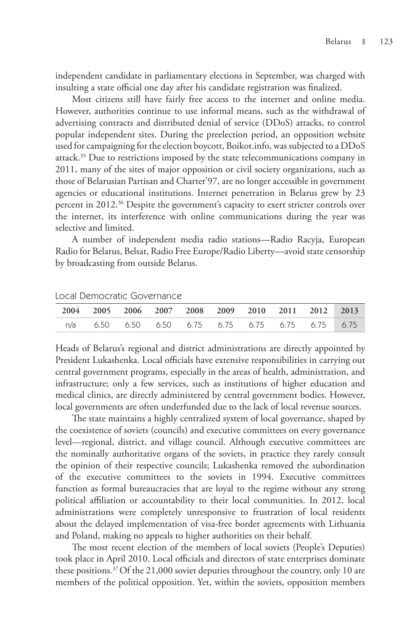independent candidate in parliamentary elections in September, was charged with insulting a state official one day after his candidate registration was finalized.

Most citizens still have fairly free access to the internet and online media. However, authorities continue to use informal means, such as the withdrawal of advertising contracts and distributed denial of service (DDoS) attacks, to control popular independent sites. During the preelection period, an opposition website used for campaigning for the election boycott, Boikot.info, was subjected to a DDoS attack.<sup>35</sup> Due to restrictions imposed by the state telecommunications company in 2011, many of the sites of major opposition or civil society organizations, such as those of Belarusian Partisan and Charter'97, are no longer accessible in government agencies or educational institutions. Internet penetration in Belarus grew by 23 percent in 2012.36 Despite the government's capacity to exert stricter controls over the internet, its interference with online communications during the year was selective and limited.

A number of independent media radio stations—Radio Racyja, European Radio for Belarus, Belsat, Radio Free Europe/Radio Liberty—avoid state censorship by broadcasting from outside Belarus.

|  |  |  |  | 2004 2005 2006 2007 2008 2009 2010 2011 2012 2013 |  |
|--|--|--|--|---------------------------------------------------|--|
|  |  |  |  | n/a 6.50 6.50 6.50 6.75 6.75 6.75 6.75 6.75 6.75  |  |

Local Democratic Governance

Heads of Belarus's regional and district administrations are directly appointed by President Lukashenka. Local officials have extensive responsibilities in carrying out central government programs, especially in the areas of health, administration, and infrastructure; only a few services, such as institutions of higher education and medical clinics, are directly administered by central government bodies. However, local governments are often underfunded due to the lack of local revenue sources.

The state maintains a highly centralized system of local governance, shaped by the coexistence of soviets (councils) and executive committees on every governance level—regional, district, and village council. Although executive committees are the nominally authoritative organs of the soviets, in practice they rarely consult the opinion of their respective councils; Lukashenka removed the subordination of the executive committees to the soviets in 1994. Executive committees function as formal bureaucracies that are loyal to the regime without any strong political affiliation or accountability to their local communities. In 2012, local administrations were completely unresponsive to frustration of local residents about the delayed implementation of visa-free border agreements with Lithuania and Poland, making no appeals to higher authorities on their behalf.

The most recent election of the members of local soviets (People's Deputies) took place in April 2010. Local officials and directors of state enterprises dominate these positions.37 Of the 21,000 soviet deputies throughout the country, only 10 are members of the political opposition. Yet, within the soviets, opposition members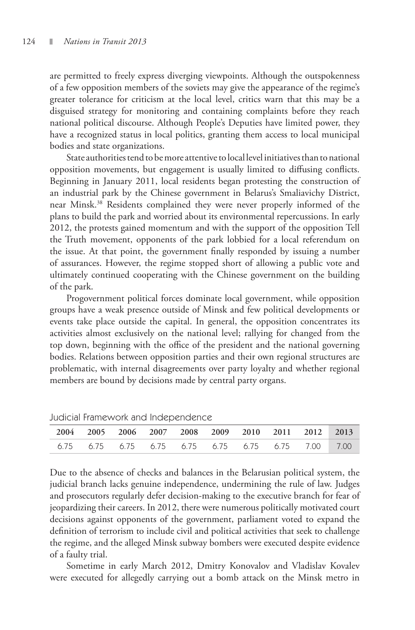are permitted to freely express diverging viewpoints. Although the outspokenness of a few opposition members of the soviets may give the appearance of the regime's greater tolerance for criticism at the local level, critics warn that this may be a disguised strategy for monitoring and containing complaints before they reach national political discourse. Although People's Deputies have limited power, they have a recognized status in local politics, granting them access to local municipal bodies and state organizations.

State authorities tend to be more attentive to local level initiatives than to national opposition movements, but engagement is usually limited to diffusing conflicts. Beginning in January 2011, local residents began protesting the construction of an industrial park by the Chinese government in Belarus's Smaliavichy District, near Minsk.38 Residents complained they were never properly informed of the plans to build the park and worried about its environmental repercussions. In early 2012, the protests gained momentum and with the support of the opposition Tell the Truth movement, opponents of the park lobbied for a local referendum on the issue. At that point, the government finally responded by issuing a number of assurances. However, the regime stopped short of allowing a public vote and ultimately continued cooperating with the Chinese government on the building of the park.

Progovernment political forces dominate local government, while opposition groups have a weak presence outside of Minsk and few political developments or events take place outside the capital. In general, the opposition concentrates its activities almost exclusively on the national level; rallying for changed from the top down, beginning with the office of the president and the national governing bodies. Relations between opposition parties and their own regional structures are problematic, with internal disagreements over party loyalty and whether regional members are bound by decisions made by central party organs.

| saarciar mamorrom and maoponacheo |  |                                                              |  |  |  |  |  |  |  |  |
|-----------------------------------|--|--------------------------------------------------------------|--|--|--|--|--|--|--|--|
|                                   |  | 2004 2005 2006 2007 2008 2009 2010 2011 2012 2013            |  |  |  |  |  |  |  |  |
|                                   |  | 6.75   6.75   6.75   6.75   6.75   6.75   6.75   7.00   7.00 |  |  |  |  |  |  |  |  |

Judicial Framework and Independence

Due to the absence of checks and balances in the Belarusian political system, the judicial branch lacks genuine independence, undermining the rule of law. Judges and prosecutors regularly defer decision-making to the executive branch for fear of jeopardizing their careers. In 2012, there were numerous politically motivated court decisions against opponents of the government, parliament voted to expand the definition of terrorism to include civil and political activities that seek to challenge the regime, and the alleged Minsk subway bombers were executed despite evidence of a faulty trial.

Sometime in early March 2012, Dmitry Konovalov and Vladislav Kovalev were executed for allegedly carrying out a bomb attack on the Minsk metro in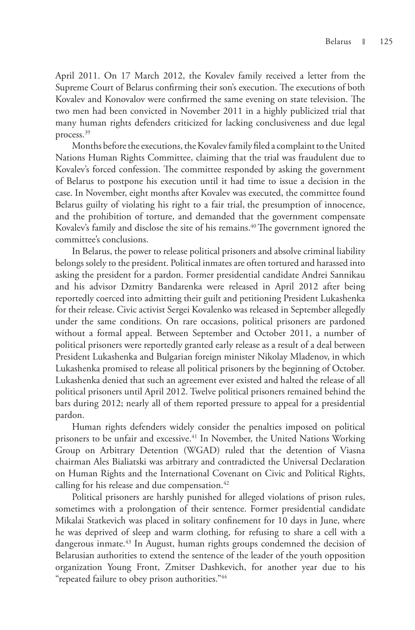April 2011. On 17 March 2012, the Kovalev family received a letter from the Supreme Court of Belarus confirming their son's execution. The executions of both Kovalev and Konovalov were confirmed the same evening on state television. The two men had been convicted in November 2011 in a highly publicized trial that many human rights defenders criticized for lacking conclusiveness and due legal process.<sup>39</sup>

Months before the executions, the Kovalev family filed a complaint to the United Nations Human Rights Committee, claiming that the trial was fraudulent due to Kovalev's forced confession. The committee responded by asking the government of Belarus to postpone his execution until it had time to issue a decision in the case. In November, eight months after Kovalev was executed, the committee found Belarus guilty of violating his right to a fair trial, the presumption of innocence, and the prohibition of torture, and demanded that the government compensate Kovalev's family and disclose the site of his remains.<sup>40</sup> The government ignored the committee's conclusions.

In Belarus, the power to release political prisoners and absolve criminal liability belongs solely to the president. Political inmates are often tortured and harassed into asking the president for a pardon. Former presidential candidate Andrei Sannikau and his advisor Dzmitry Bandarenka were released in April 2012 after being reportedly coerced into admitting their guilt and petitioning President Lukashenka for their release. Civic activist Sergei Kovalenko was released in September allegedly under the same conditions. On rare occasions, political prisoners are pardoned without a formal appeal. Between September and October 2011, a number of political prisoners were reportedly granted early release as a result of a deal between President Lukashenka and Bulgarian foreign minister Nikolay Mladenov, in which Lukashenka promised to release all political prisoners by the beginning of October. Lukashenka denied that such an agreement ever existed and halted the release of all political prisoners until April 2012. Twelve political prisoners remained behind the bars during 2012; nearly all of them reported pressure to appeal for a presidential pardon.

Human rights defenders widely consider the penalties imposed on political prisoners to be unfair and excessive.<sup>41</sup> In November, the United Nations Working Group on Arbitrary Detention (WGAD) ruled that the detention of Viasna chairman Ales Bialiatski was arbitrary and contradicted the Universal Declaration on Human Rights and the International Covenant on Civic and Political Rights, calling for his release and due compensation. $42$ 

Political prisoners are harshly punished for alleged violations of prison rules, sometimes with a prolongation of their sentence. Former presidential candidate Mikalai Statkevich was placed in solitary confinement for 10 days in June, where he was deprived of sleep and warm clothing, for refusing to share a cell with a dangerous inmate.<sup>43</sup> In August, human rights groups condemned the decision of Belarusian authorities to extend the sentence of the leader of the youth opposition organization Young Front, Zmitser Dashkevich, for another year due to his "repeated failure to obey prison authorities."44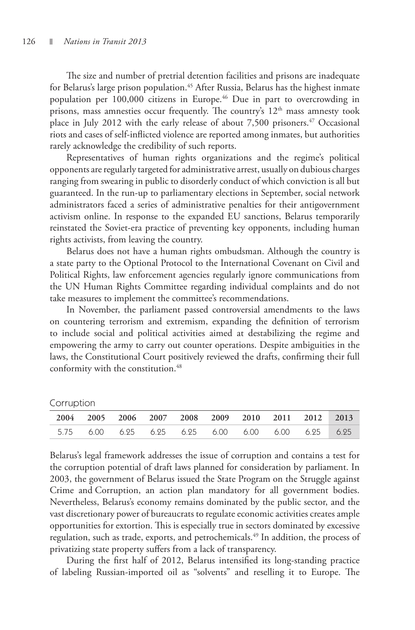Corruption

The size and number of pretrial detention facilities and prisons are inadequate for Belarus's large prison population.<sup>45</sup> After Russia, Belarus has the highest inmate population per 100,000 citizens in Europe.<sup>46</sup> Due in part to overcrowding in prisons, mass amnesties occur frequently. The country's  $12<sup>th</sup>$  mass amnesty took place in July 2012 with the early release of about  $7,500$  prisoners.<sup>47</sup> Occasional riots and cases of self-inflicted violence are reported among inmates, but authorities rarely acknowledge the credibility of such reports.

Representatives of human rights organizations and the regime's political opponents are regularly targeted for administrative arrest, usually on dubious charges ranging from swearing in public to disorderly conduct of which conviction is all but guaranteed. In the run-up to parliamentary elections in September, social network administrators faced a series of administrative penalties for their antigovernment activism online. In response to the expanded EU sanctions, Belarus temporarily reinstated the Soviet-era practice of preventing key opponents, including human rights activists, from leaving the country.

Belarus does not have a human rights ombudsman. Although the country is a state party to the Optional Protocol to the International Covenant on Civil and Political Rights, law enforcement agencies regularly ignore communications from the UN Human Rights Committee regarding individual complaints and do not take measures to implement the committee's recommendations.

In November, the parliament passed controversial amendments to the laws on countering terrorism and extremism, expanding the definition of terrorism to include social and political activities aimed at destabilizing the regime and empowering the army to carry out counter operations. Despite ambiguities in the laws, the Constitutional Court positively reviewed the drafts, confirming their full conformity with the constitution.<sup>48</sup>

| $\sim$ |                                                   |  |  |  |  |
|--------|---------------------------------------------------|--|--|--|--|
|        | 2004 2005 2006 2007 2008 2009 2010 2011 2012 2013 |  |  |  |  |
|        | 5.75 6.00 6.25 6.25 6.25 6.00 6.00 6.00 6.25 6.25 |  |  |  |  |

Belarus's legal framework addresses the issue of corruption and contains a test for the corruption potential of draft laws planned for consideration by parliament. In 2003, the government of Belarus issued the State Program on the Struggle against Crime and Corruption, an action plan mandatory for all government bodies. Nevertheless, Belarus's economy remains dominated by the public sector, and the vast discretionary power of bureaucrats to regulate economic activities creates ample opportunities for extortion. This is especially true in sectors dominated by excessive regulation, such as trade, exports, and petrochemicals.<sup>49</sup> In addition, the process of privatizing state property suffers from a lack of transparency.

During the first half of 2012, Belarus intensified its long-standing practice of labeling Russian-imported oil as "solvents" and reselling it to Europe. The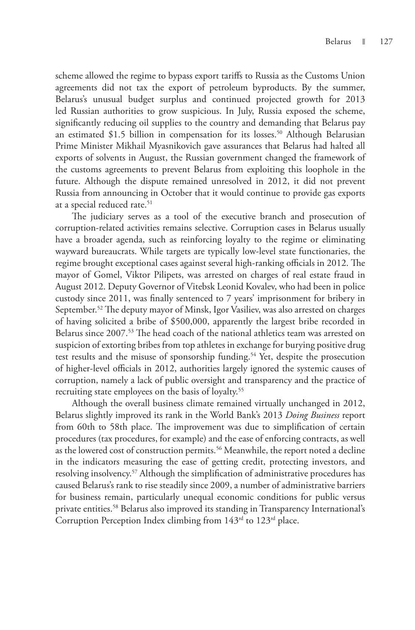scheme allowed the regime to bypass export tariffs to Russia as the Customs Union agreements did not tax the export of petroleum byproducts. By the summer, Belarus's unusual budget surplus and continued projected growth for 2013 led Russian authorities to grow suspicious. In July, Russia exposed the scheme, significantly reducing oil supplies to the country and demanding that Belarus pay an estimated \$1.5 billion in compensation for its losses.<sup>50</sup> Although Belarusian Prime Minister Mikhail Myasnikovich gave assurances that Belarus had halted all exports of solvents in August, the Russian government changed the framework of the customs agreements to prevent Belarus from exploiting this loophole in the future. Although the dispute remained unresolved in 2012, it did not prevent Russia from announcing in October that it would continue to provide gas exports at a special reduced rate.<sup>51</sup>

The judiciary serves as a tool of the executive branch and prosecution of corruption-related activities remains selective. Corruption cases in Belarus usually have a broader agenda, such as reinforcing loyalty to the regime or eliminating wayward bureaucrats. While targets are typically low-level state functionaries, the regime brought exceptional cases against several high-ranking officials in 2012. The mayor of Gomel, Viktor Pilipets, was arrested on charges of real estate fraud in August 2012. Deputy Governor of Vitebsk Leonid Kovalev, who had been in police custody since 2011, was finally sentenced to 7 years' imprisonment for bribery in September.<sup>52</sup> The deputy mayor of Minsk, Igor Vasiliev, was also arrested on charges of having solicited a bribe of \$500,000, apparently the largest bribe recorded in Belarus since 2007.<sup>53</sup> The head coach of the national athletics team was arrested on suspicion of extorting bribes from top athletes in exchange for burying positive drug test results and the misuse of sponsorship funding.<sup>54</sup> Yet, despite the prosecution of higher-level officials in 2012, authorities largely ignored the systemic causes of corruption, namely a lack of public oversight and transparency and the practice of recruiting state employees on the basis of loyalty.<sup>55</sup>

Although the overall business climate remained virtually unchanged in 2012, Belarus slightly improved its rank in the World Bank's 2013 *Doing Business* report from 60th to 58th place. The improvement was due to simplification of certain procedures (tax procedures, for example) and the ease of enforcing contracts, as well as the lowered cost of construction permits.<sup>56</sup> Meanwhile, the report noted a decline in the indicators measuring the ease of getting credit, protecting investors, and resolving insolvency.<sup>57</sup> Although the simplification of administrative procedures has caused Belarus's rank to rise steadily since 2009, a number of administrative barriers for business remain, particularly unequal economic conditions for public versus private entities.58 Belarus also improved its standing in Transparency International's Corruption Perception Index climbing from  $143<sup>rd</sup>$  to  $123<sup>rd</sup>$  place.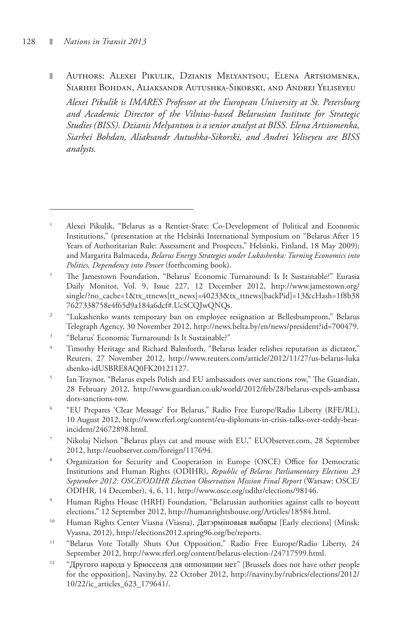Authors: Alexei Pikulik, Dzianis Melyantsou, Elena Artsiomenka, П Siarhei Bohdan, Aliaksandr Autushka-Sikorski, and Andrei Yeliseyeu

*Alexei Pikulik is IMARES Professor at the European University at St. Petersburg and Academic Director of the Vilnius-based Belarusian Institute for Strategic Studies (BISS). Dzianis Melyantsou is a senior analyst at BISS. Elena Artsiomenka, Siarhei Bohdan, Aliaksandr Autushka-Sikorski, and Andrei Yeliseyeu are BISS analysts.* 

- 2 "Lukashenko wants temporary ban on employee resignation at Bellesbumprom," Belarus Telegraph Agency, 30 November 2012, http://news.belta.by/en/news/president?id=700479.
- 3 "Belarus' Economic Turnaround: Is It Sustainable?"
- 4 Timothy Heritage and Richard Balmforth, "Belarus leader relishes reputation as dictator," Reuters, 27 November 2012, http://www.reuters.com/article/2012/11/27/us-belarus-luka shenko-idUSBRE8AQ0FK20121127.
- 5 Ian Traynor, "Belarus expels Polish and EU ambassadors over sanctions row," The Guardian, 28 February 2012, http://www.guardian.co.uk/world/2012/feb/28/belarus-expels-ambassa dors-sanctions-row.
- 6 "EU Prepares 'Clear Message' For Belarus," Radio Free Europe/Radio Liberty (RFE/RL), 10 August 2012, http://www.rferl.org/content/eu-diplomats-in-crisis-talks-over-teddy-bearincident/24672898.html.
- 7 Nikolaj Nielson "Belarus plays cat and mouse with EU," EUObserver.com, 28 September 2012, http://euobserver.com/foreign/117694.
- 8 Organization for Security and Cooperation in Europe (OSCE) Office for Democratic Institutions and Human Rights (ODIHR), *Republic of Belarus Parliamentary Elections 23 September 2012: OSCE/ODIHR Election Observation Mission Final Report* (Warsaw: OSCE/ ODIHR, 14 December), 4, 6, 11, http://www.osce.org/odihr/elections/98146.
- 9 Human Rights House (HRH) Foundation, "Belarusian authorities against calls to boycott elections," 12 September 2012, http://humanrightshouse.org/Articles/18584.html.
- <sup>10</sup> Human Rights Center Viasna (Viasna), Датэрміновыя выбары [Early elections] (Minsk: Vyasna, 2012), http://elections2012.spring96.org/be/reports.
- <sup>11</sup> "Belarus Vote Totally Shuts Out Opposition," Radio Free Europe/Radio Liberty, 24 September 2012, http://www.rferl.org/content/belarus-election-/24717599.html.
- <sup>12</sup> "Другого народа у Брюсселя для оппозиции нет" [Brussels does not have other people for the opposition], Naviny.by, 22 October 2012, http://naviny.by/rubrics/elections/2012/ 10/22/ic\_articles\_623\_179641/.

<sup>1</sup> Alexei Pikulik, "Belarus as a Rentier-State: Co-Development of Political and Economic Institutions," (presentation at the Helsinki International Symposium on "Belarus After 15 Years of Authoritarian Rule: Assessment and Prospects," Helsinki, Finland, 18 May 2009); and Margarita Balmaceda, *Belarus Energy Strategies under Lukashenka: Turning Economics into Politics, Dependency into Power* (forthcoming book).

<sup>1</sup> The Jamestown Foundation, "Belarus' Economic Turnaround: Is It Sustainable?" Eurasia Daily Monitor, Vol. 9, Issue 227, 12 December 2012, http://www.jamestown.org/ single/?no\_cache=1&tx\_ttnews[tt\_news]=40233&tx\_ttnews[backPid]=13&cHash=1f8b38 7627338758e4f65d9a184a6dcf#.UcSCQJwQNQs.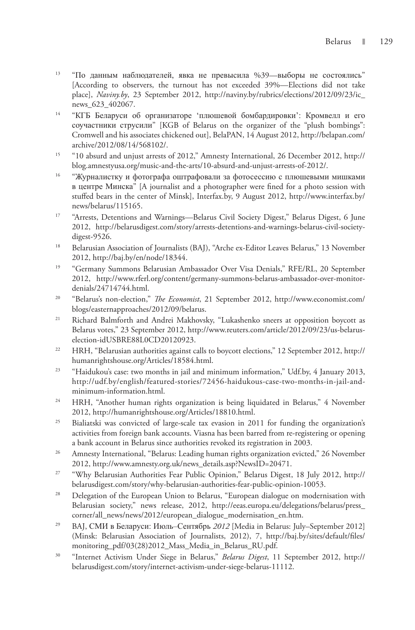- 13 "По данным наблюдателей, явка не превысила %39—выборы не состоялись" [According to observers, the turnout has not exceeded 39%—Elections did not take place], *Naviny.by*, 23 September 2012, http://naviny.by/rubrics/elections/2012/09/23/ic\_ news 623 402067.
- 14 "КГБ Беларуси об организаторе 'плюшевой бомбардировки': Кромвелл и его соучастники струсили" [KGB of Belarus on the organizer of the "plush bombings": Cromwell and his associates chickened out], BelaPAN, 14 August 2012, http://belapan.com/ archive/2012/08/14/568102/.
- 15 "10 absurd and unjust arrests of 2012," Amnesty International, 26 December 2012, http:// blog.amnestyusa.org/music-and-the-arts/10-absurd-and-unjust-arrests-of-2012/.
- 16 "Журналистку и фотографа оштрафовали за фотосессию с плюшевыми мишками в центре Минска" [A journalist and a photographer were fined for a photo session with stuffed bears in the center of Minsk], Interfax.by, 9 August 2012, http://www.interfax.by/ news/belarus/115165.
- <sup>17</sup> "Arrests, Detentions and Warnings—Belarus Civil Society Digest," Belarus Digest, 6 June 2012, http://belarusdigest.com/story/arrests-detentions-and-warnings-belarus-civil-societydigest-9526.
- <sup>18</sup> Belarusian Association of Journalists (BAJ), "Arche ex-Editor Leaves Belarus," 13 November 2012, http://baj.by/en/node/18344.
- <sup>19</sup> "Germany Summons Belarusian Ambassador Over Visa Denials," RFE/RL, 20 September 2012, http://www.rferl.org/content/germany-summons-belarus-ambassador-over-monitordenials/24714744.html.
- 20 "Belarus's non-election," *The Economist*, 21 September 2012, http://www.economist.com/ blogs/easternapproaches/2012/09/belarus.
- 21 Richard Balmforth and Andrei Makhovsky, "Lukashenko sneers at opposition boycott as Belarus votes," 23 September 2012, http://www.reuters.com/article/2012/09/23/us-belaruselection-idUSBRE88L0CD20120923.
- <sup>22</sup> HRH, "Belarusian authorities against calls to boycott elections," 12 September 2012, http:// humanrightshouse.org/Articles/18584.html.
- <sup>23</sup> "Haidukou's case: two months in jail and minimum information," Udf.by, 4 January 2013, http://udf.by/english/featured-stories/72456-haidukous-case-two-months-in-jail-andminimum-information.html.
- <sup>24</sup> HRH, "Another human rights organization is being liquidated in Belarus," 4 November 2012, http://humanrightshouse.org/Articles/18810.html.
- <sup>25</sup> Bialiatski was convicted of large-scale tax evasion in 2011 for funding the organization's activities from foreign bank accounts. Viasna has been barred from re-registering or opening a bank account in Belarus since authorities revoked its registration in 2003.
- <sup>26</sup> Amnesty International, "Belarus: Leading human rights organization evicted," 26 November 2012, http://www.amnesty.org.uk/news\_details.asp?NewsID=20471.
- <sup>27</sup> "Why Belarusian Authorities Fear Public Opinion," Belarus Digest, 18 July 2012, http:// belarusdigest.com/story/why-belarusian-authorities-fear-public-opinion-10053.
- <sup>28</sup> Delegation of the European Union to Belarus, "European dialogue on modernisation with Belarusian society," news release, 2012, http://eeas.europa.eu/delegations/belarus/press\_ corner/all\_news/news/2012/european\_dialogue\_modernisation\_en.htm.
- <sup>29</sup> BAJ, СМИ в Беларуси: Июль–Сентябрь 2012 [Media in Belarus: July–September 2012] (Minsk: Belarusian Association of Journalists, 2012), 7, http://baj.by/sites/default/files/ monitoring\_pdf/03(28)2012\_Mass\_Media\_in\_Belarus\_RU.pdf.
- 30 "Internet Activism Under Siege in Belarus," *Belarus Digest*, 11 September 2012, http:// belarusdigest.com/story/internet-activism-under-siege-belarus-11112.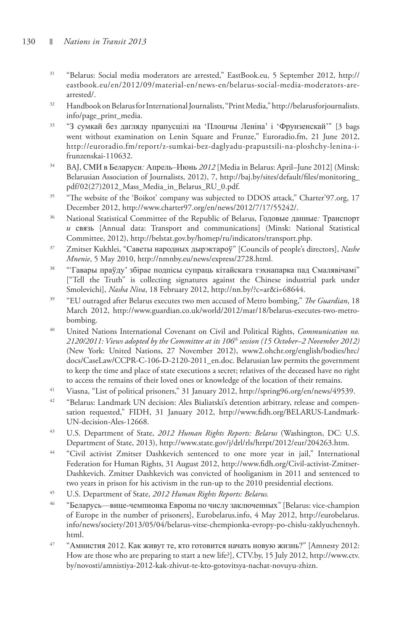- 31 "Belarus: Social media moderators are arrested," EastBook.eu, 5 September 2012, http:// eastbook.eu/en/2012/09/material-en/news-en/belarus-social-media-moderators-arearrested/.
- 32 Handbook on Belarus for International Journalists, "Print Media," http://belarusforjournalists. info/page\_print\_media.
- <sup>33</sup> "З сумкай без дагляду прапусцілі на 'Плошчы Леніна' і 'Фрунзенскай'" [3 bags went without examination on Lenin Square and Frunze," Euroradio.fm, 21 June 2012, http://euroradio.fm/report/z-sumkai-bez-daglyadu-prapustsili-na-ploshchy-lenina-ifrunzenskai-110632.
- 34 BAJ, СМИ в Беларуси*:* Апрель*–*Июнь *2012* [Media in Belarus: April–June 2012] (Minsk: Belarusian Association of Journalists, 2012), 7, http://baj.by/sites/default/files/monitoring\_ pdf/02(27)2012\_Mass\_Media\_in\_Belarus\_RU\_0.pdf.
- <sup>35</sup> "The website of the 'Boikot' company was subjected to DDOS attack," Charter'97.org, 17 December 2012, http://www.charter97.org/en/news/2012/7/17/55242/.
- 36 National Statistical Committee of the Republic of Belarus, Годовые данные*:* Транспорт *и* связь [Annual data: Transport and communications] (Minsk: National Statistical Committee, 2012), http://belstat.gov.by/homep/ru/indicators/transport.php.
- 37 Zmitser Kukhlei, "Саветы народных дырэктароў" [Councils of people's directors], *Nashe Mnenie*, 5 May 2010, http://nmnby.eu/news/express/2728.html.
- 38 "'Гавары праўду' збірае подпісы супраць кітайскага тэхнапарка пад Смалявічамі" ["Tell the Truth" is collecting signatures against the Chinese industrial park under Smolevichi], *Nasha Niva*, 18 February 2012, http://nn.by/?c=ar&i=68644.
- 39 "EU outraged after Belarus executes two men accused of Metro bombing," *The Guardian*, 18 March 2012, http://www.guardian.co.uk/world/2012/mar/18/belarus-executes-two-metrobombing.
- 40 United Nations International Covenant on Civil and Political Rights, *Communication no. 2120/2011: Views adopted by the Committee at its 106th session (15 October–2 November 2012)* (New York: United Nations, 27 November 2012), www2.ohchr.org/english/bodies/hrc/ docs/CaseLaw/CCPR-C-106-D-2120-2011\_en.doc. Belarusian law permits the government to keep the time and place of state executions a secret; relatives of the deceased have no right to access the remains of their loved ones or knowledge of the location of their remains.
- 41 Viasna, "List of political prisoners," 31 January 2012, http://spring96.org/en/news/49539.
- <sup>42</sup> "Belarus: Landmark UN decision: Ales Bialiatski's detention arbitrary, release and compensation requested," FIDH, 31 January 2012, http://www.fidh.org/BELARUS-Landmark-UN-decision-Ales-12668.
- 43 U.S. Department of State, *2012 Human Rights Reports: Belarus* (Washington, DC: U.S. Department of State, 2013), http://www.state.gov/j/drl/rls/hrrpt/2012/eur/204263.htm.
- 44 "Civil activist Zmitser Dashkevich sentenced to one more year in jail," International Federation for Human Rights, 31 August 2012, http://www.fidh.org/Civil-activist-Zmitser-Dashkevich. Zmitser Dashkevich was convicted of hooliganism in 2011 and sentenced to two years in prison for his activism in the run-up to the 2010 presidential elections.
- 45 U.S. Department of State, *2012 Human Rights Reports: Belarus.*
- <sup>46</sup> "Беларусь—вице-чемпионка Европы по числу заключенных" [Belarus: vice-champion of Europe in the number of prisoners], Eurobelarus.info, 4 May 2012, http://eurobelarus. info/news/society/2013/05/04/belarus-vitse-chempionka-evropy-po-chislu-zaklyuchennyh. html.
- $47$  "Амнистия 2012. Как живут те, кто готовится начать новую жизнь?" [Amnesty 2012: How are those who are preparing to start a new life?], CTV.by, 15 July 2012, http://www.ctv. by/novosti/amnistiya-2012-kak-zhivut-te-kto-gotovitsya-nachat-novuyu-zhizn.